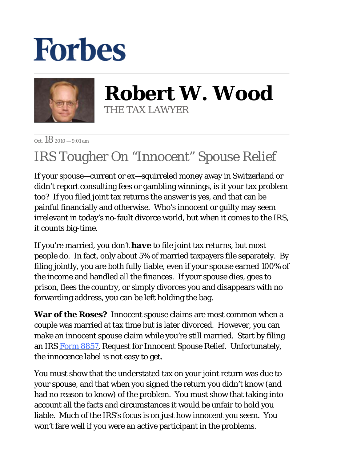## **Forbes**



**Robert W. Wood** THE TAX LAWYER

 $Oct$  18  $2010 - 9:01$  am

## IRS Tougher On "Innocent" Spouse Relief

If your spouse—current or ex—squirreled money away in Switzerland or didn't report consulting fees or gambling winnings, is it your tax problem too? If you filed joint tax returns the answer is yes, and that can be painful financially and otherwise. Who's innocent or guilty may seem irrelevant in today's no-fault divorce world, but when it comes to the IRS, it counts big-time.

If you're married, you don't *have* to file joint tax returns, but most people do. In fact, only about 5% of married taxpayers file separately. By filing jointly, you are both *fully* liable, even if your spouse earned 100% of the income and handled all the finances. If your spouse dies, goes to prison, flees the country, or simply divorces you and disappears with no forwarding address, you can be left holding the bag.

**War of the Roses?** Innocent spouse claims are most common when a couple was married at tax time but is later divorced. However, you can make an innocent spouse claim while you're still married. Start by filing an IRS Form 8857, Request for Innocent Spouse Relief. Unfortunately, the innocence label is not easy to get.

You must show that the understated tax on your joint return was due to your spouse, and that when you signed the return you didn't know (and had no reason to know) of the problem. You must show that taking into account all the facts and circumstances it would be unfair to hold you liable. Much of the IRS's focus is on just how innocent you seem. You won't fare well if you were an active participant in the problems.